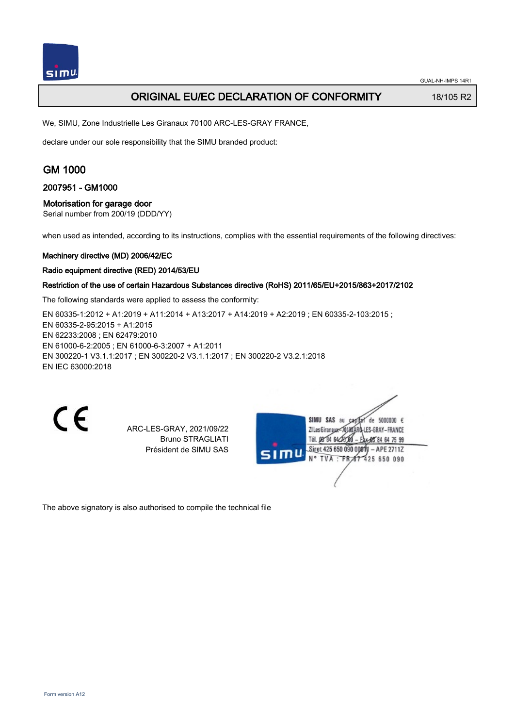

## **ORIGINAL EU/EC DECLARATION OF CONFORMITY** 18/105 R2

We, SIMU, Zone Industrielle Les Giranaux 70100 ARC-LES-GRAY FRANCE,

declare under our sole responsibility that the SIMU branded product:

# GM 1000

### 2007951 - GM1000

### Motorisation for garage door

Serial number from 200/19 (DDD/YY)

when used as intended, according to its instructions, complies with the essential requirements of the following directives:

#### Machinery directive (MD) 2006/42/EC

#### Radio equipment directive (RED) 2014/53/EU

## Restriction of the use of certain Hazardous Substances directive (RoHS) 2011/65/EU+2015/863+2017/2102

The following standards were applied to assess the conformity:

EN 60335-1:2012 + A1:2019 + A11:2014 + A13:2017 + A14:2019 + A2:2019 ; EN 60335-2-103:2015 ; EN 60335‑2‑95:2015 + A1:2015 EN 62233:2008 ; EN 62479:2010 EN 61000‑6‑2:2005 ; EN 61000‑6‑3:2007 + A1:2011 EN 300220‑1 V3.1.1:2017 ; EN 300220‑2 V3.1.1:2017 ; EN 300220‑2 V3.2.1:2018 EN IEC 63000:2018

 $\epsilon$ 

ARC-LES-GRAY, 2021/09/22 Bruno STRAGLIATI Président de SIMU SAS

de 5000000  $\epsilon$ **ZILesGiranaux** ES-GRAY-FRANCE THE DR'RA 64/2 48 84 64 75 99 Siret 425 650 090 00811 - APE 2711Z FR 67 425 650 090 N° TVA

The above signatory is also authorised to compile the technical file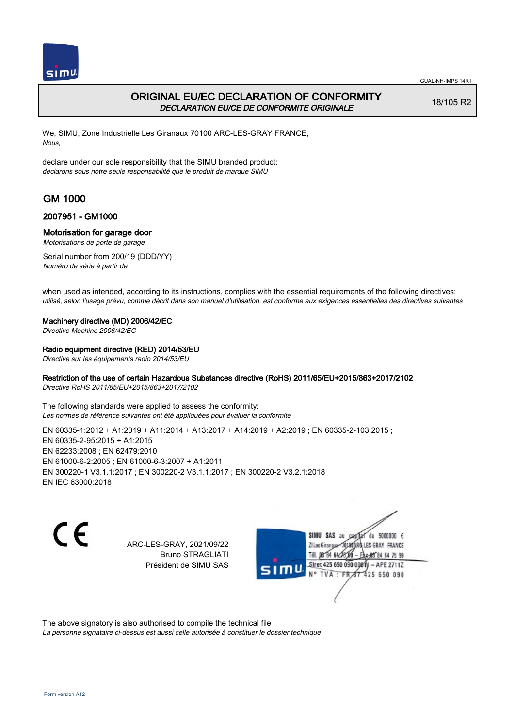

## ORIGINAL EU/EC DECLARATION OF CONFORMITY DECLARATION EU/CE DE CONFORMITE ORIGINALE

18/105 R2

We, SIMU, Zone Industrielle Les Giranaux 70100 ARC-LES-GRAY FRANCE, Nous,

declare under our sole responsibility that the SIMU branded product: declarons sous notre seule responsabilité que le produit de marque SIMU

# GM 1000

## 2007951 - GM1000

### Motorisation for garage door

Motorisations de porte de garage

Serial number from 200/19 (DDD/YY) Numéro de série à partir de

when used as intended, according to its instructions, complies with the essential requirements of the following directives: utilisé, selon l'usage prévu, comme décrit dans son manuel d'utilisation, est conforme aux exigences essentielles des directives suivantes

### Machinery directive (MD) 2006/42/EC

Directive Machine 2006/42/EC

### Radio equipment directive (RED) 2014/53/EU

Directive sur les équipements radio 2014/53/EU

### Restriction of the use of certain Hazardous Substances directive (RoHS) 2011/65/EU+2015/863+2017/2102

Directive RoHS 2011/65/EU+2015/863+2017/2102

The following standards were applied to assess the conformity: Les normes de référence suivantes ont été appliquées pour évaluer la conformité

EN 60335-1:2012 + A1:2019 + A11:2014 + A13:2017 + A14:2019 + A2:2019 ; EN 60335-2-103:2015 ; EN 60335‑2‑95:2015 + A1:2015 EN 62233:2008 ; EN 62479:2010 EN 61000‑6‑2:2005 ; EN 61000‑6‑3:2007 + A1:2011 EN 300220‑1 V3.1.1:2017 ; EN 300220‑2 V3.1.1:2017 ; EN 300220‑2 V3.2.1:2018 EN IEC 63000:2018

 $\epsilon$ 

ARC-LES-GRAY, 2021/09/22 Bruno STRAGLIATI Président de SIMU SAS



The above signatory is also authorised to compile the technical file

La personne signataire ci-dessus est aussi celle autorisée à constituer le dossier technique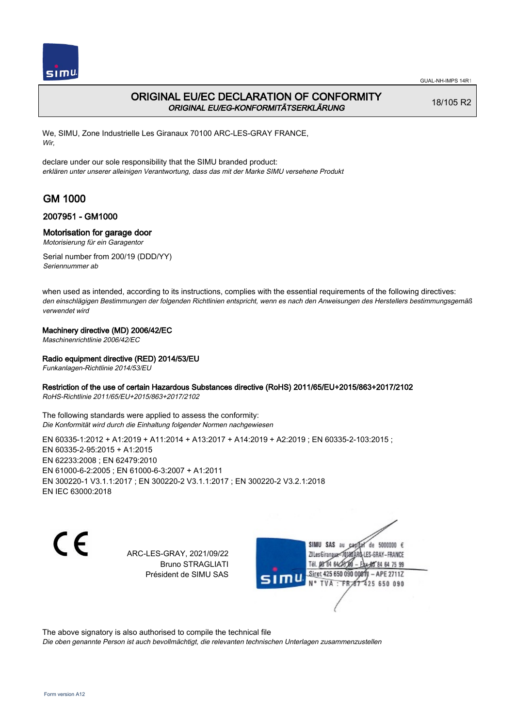

## ORIGINAL EU/EC DECLARATION OF CONFORMITY ORIGINAL EU/EG-KONFORMITÄTSERKLÄRUNG

18/105 R2

We, SIMU, Zone Industrielle Les Giranaux 70100 ARC-LES-GRAY FRANCE, Wir,

declare under our sole responsibility that the SIMU branded product: erklären unter unserer alleinigen Verantwortung, dass das mit der Marke SIMU versehene Produkt

# GM 1000

## 2007951 - GM1000

### Motorisation for garage door

Motorisierung für ein Garagentor

Serial number from 200/19 (DDD/YY) Seriennummer ab

when used as intended, according to its instructions, complies with the essential requirements of the following directives: den einschlägigen Bestimmungen der folgenden Richtlinien entspricht, wenn es nach den Anweisungen des Herstellers bestimmungsgemäß verwendet wird

### Machinery directive (MD) 2006/42/EC

Maschinenrichtlinie 2006/42/EC

### Radio equipment directive (RED) 2014/53/EU

Funkanlagen-Richtlinie 2014/53/EU

### Restriction of the use of certain Hazardous Substances directive (RoHS) 2011/65/EU+2015/863+2017/2102

RoHS-Richtlinie 2011/65/EU+2015/863+2017/2102

The following standards were applied to assess the conformity: Die Konformität wird durch die Einhaltung folgender Normen nachgewiesen

EN 60335-1:2012 + A1:2019 + A11:2014 + A13:2017 + A14:2019 + A2:2019 ; EN 60335-2-103:2015 ; EN 60335‑2‑95:2015 + A1:2015 EN 62233:2008 ; EN 62479:2010 EN 61000‑6‑2:2005 ; EN 61000‑6‑3:2007 + A1:2011 EN 300220‑1 V3.1.1:2017 ; EN 300220‑2 V3.1.1:2017 ; EN 300220‑2 V3.2.1:2018 EN IEC 63000:2018

C E

ARC-LES-GRAY, 2021/09/22 Bruno STRAGLIATI Président de SIMU SAS

SIMU SAS au de 5000000  $\epsilon$ ZI Les Giranaux</br/>1018 LES-GRAY-FRANCE Tél. 08 84 64 24 64 75 99 Siret 425 650 090 0001 - APE 2711Z **TVA:FR** 425 650 090

The above signatory is also authorised to compile the technical file

Die oben genannte Person ist auch bevollmächtigt, die relevanten technischen Unterlagen zusammenzustellen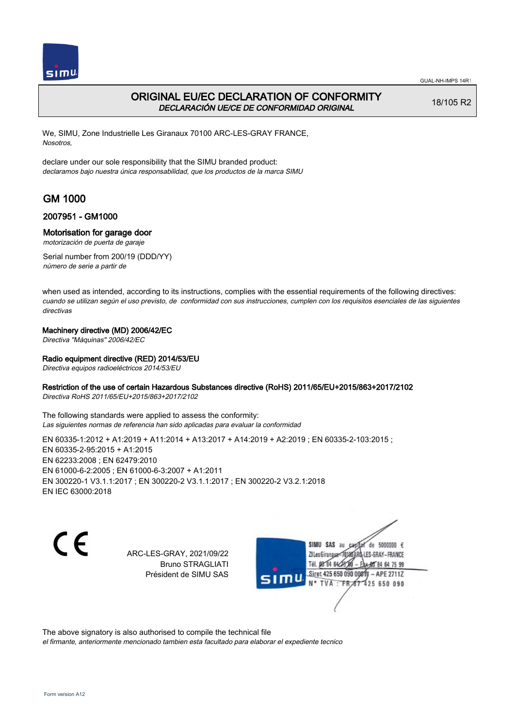

## ORIGINAL EU/EC DECLARATION OF CONFORMITY DECLARACIÓN UE/CE DE CONFORMIDAD ORIGINAL

18/105 R2

We, SIMU, Zone Industrielle Les Giranaux 70100 ARC-LES-GRAY FRANCE, Nosotros,

declare under our sole responsibility that the SIMU branded product: declaramos bajo nuestra única responsabilidad, que los productos de la marca SIMU

# GM 1000

## 2007951 - GM1000

### Motorisation for garage door

motorización de puerta de garaje

Serial number from 200/19 (DDD/YY) número de serie a partir de

when used as intended, according to its instructions, complies with the essential requirements of the following directives: cuando se utilizan según el uso previsto, de conformidad con sus instrucciones, cumplen con los requisitos esenciales de las siguientes directivas

### Machinery directive (MD) 2006/42/EC

Directiva "Máquinas" 2006/42/EC

### Radio equipment directive (RED) 2014/53/EU

Directiva equipos radioeléctricos 2014/53/EU

### Restriction of the use of certain Hazardous Substances directive (RoHS) 2011/65/EU+2015/863+2017/2102

Directiva RoHS 2011/65/EU+2015/863+2017/2102

The following standards were applied to assess the conformity: Las siguientes normas de referencia han sido aplicadas para evaluar la conformidad

EN 60335-1:2012 + A1:2019 + A11:2014 + A13:2017 + A14:2019 + A2:2019 ; EN 60335-2-103:2015 ; EN 60335‑2‑95:2015 + A1:2015 EN 62233:2008 ; EN 62479:2010 EN 61000‑6‑2:2005 ; EN 61000‑6‑3:2007 + A1:2011 EN 300220‑1 V3.1.1:2017 ; EN 300220‑2 V3.1.1:2017 ; EN 300220‑2 V3.2.1:2018 EN IEC 63000:2018

C E

ARC-LES-GRAY, 2021/09/22 Bruno STRAGLIATI Président de SIMU SAS

SIMU SAS au de 5000000  $\epsilon$ ZI Les Giranaux-70180 LES-GRAY-FRANCE Tél. 08 84 64 24 64 75 99 Siret 425 650 090 0081) - APE 2711Z 425 650 090 TVA: FR

The above signatory is also authorised to compile the technical file

el firmante, anteriormente mencionado tambien esta facultado para elaborar el expediente tecnico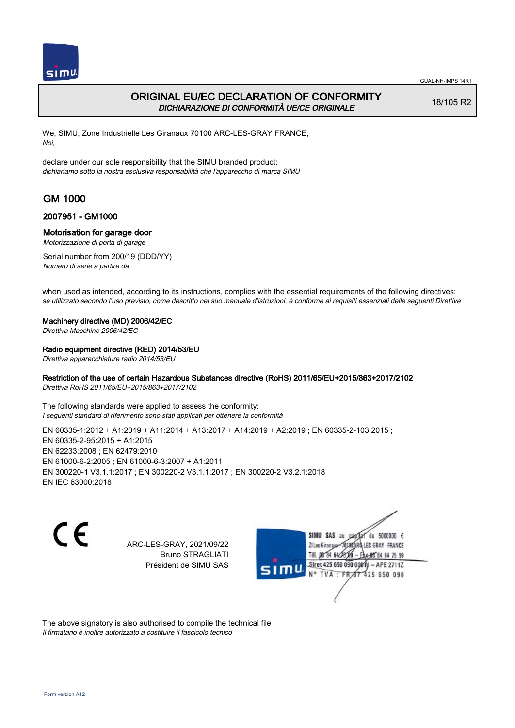

## ORIGINAL EU/EC DECLARATION OF CONFORMITY DICHIARAZIONE DI CONFORMITÀ UE/CE ORIGINALE

18/105 R2

We, SIMU, Zone Industrielle Les Giranaux 70100 ARC-LES-GRAY FRANCE, Noi,

declare under our sole responsibility that the SIMU branded product: dichiariamo sotto la nostra esclusiva responsabilità che l'appareccho di marca SIMU

# GM 1000

## 2007951 - GM1000

### Motorisation for garage door

Motorizzazione di porta di garage

Serial number from 200/19 (DDD/YY) Numero di serie a partire da

when used as intended, according to its instructions, complies with the essential requirements of the following directives: se utilizzato secondo l'uso previsto, come descritto nel suo manuale d'istruzioni, è conforme ai requisiti essenziali delle seguenti Direttive

### Machinery directive (MD) 2006/42/EC

Direttiva Macchine 2006/42/EC

### Radio equipment directive (RED) 2014/53/EU

Direttiva apparecchiature radio 2014/53/EU

### Restriction of the use of certain Hazardous Substances directive (RoHS) 2011/65/EU+2015/863+2017/2102

Direttiva RoHS 2011/65/EU+2015/863+2017/2102

The following standards were applied to assess the conformity: I seguenti standard di riferimento sono stati applicati per ottenere la conformità

EN 60335-1:2012 + A1:2019 + A11:2014 + A13:2017 + A14:2019 + A2:2019 ; EN 60335-2-103:2015 ; EN 60335‑2‑95:2015 + A1:2015 EN 62233:2008 ; EN 62479:2010 EN 61000‑6‑2:2005 ; EN 61000‑6‑3:2007 + A1:2011 EN 300220‑1 V3.1.1:2017 ; EN 300220‑2 V3.1.1:2017 ; EN 300220‑2 V3.2.1:2018 EN IEC 63000:2018

 $\epsilon$ 

ARC-LES-GRAY, 2021/09/22 Bruno STRAGLIATI Président de SIMU SAS



The above signatory is also authorised to compile the technical file Il firmatario è inoltre autorizzato a costituire il fascicolo tecnico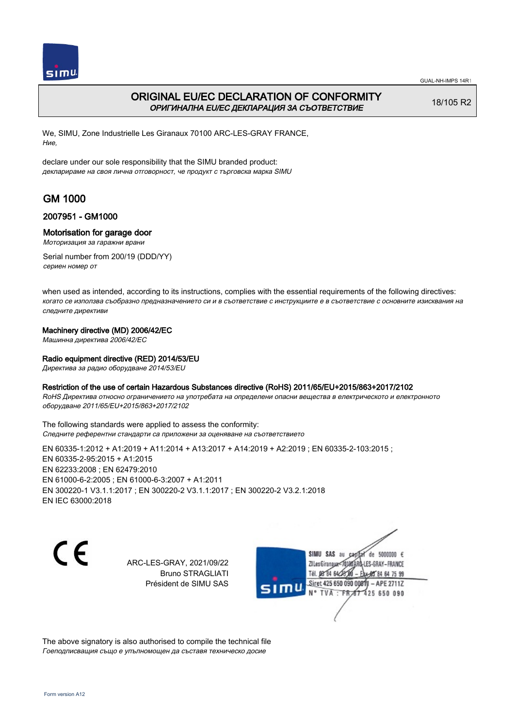

## ORIGINAL EU/EC DECLARATION OF CONFORMITY ОРИГИНАЛНА EU/EC ДЕКЛАРАЦИЯ ЗА СЪОТВЕТСТВИЕ

18/105 R2

We, SIMU, Zone Industrielle Les Giranaux 70100 ARC-LES-GRAY FRANCE, Ние,

declare under our sole responsibility that the SIMU branded product: декларираме на своя лична отговорност, че продукт с търговска марка SIMU

# GM 1000

## 2007951 - GM1000

### Motorisation for garage door

Моторизация за гаражни врани

Serial number from 200/19 (DDD/YY) сериен номер от

when used as intended, according to its instructions, complies with the essential requirements of the following directives: когато се използва съобразно предназначението си и в съответствие с инструкциите е в съответствие с основните изисквания на следните директиви

### Machinery directive (MD) 2006/42/EC

Машинна директива 2006/42/EC

### Radio equipment directive (RED) 2014/53/EU

Директива за радио оборудване 2014/53/EU

### Restriction of the use of certain Hazardous Substances directive (RoHS) 2011/65/EU+2015/863+2017/2102

RoHS Директива относно ограничението на употребата на определени опасни вещества в електрическото и електронното оборудване 2011/65/EU+2015/863+2017/2102

The following standards were applied to assess the conformity: Следните референтни стандарти са приложени за оценяване на съответствието

EN 60335‑1:2012 + A1:2019 + A11:2014 + A13:2017 + A14:2019 + A2:2019 ; EN 60335‑2‑103:2015 ; EN 60335‑2‑95:2015 + A1:2015 EN 62233:2008 ; EN 62479:2010 EN 61000‑6‑2:2005 ; EN 61000‑6‑3:2007 + A1:2011 EN 300220‑1 V3.1.1:2017 ; EN 300220‑2 V3.1.1:2017 ; EN 300220‑2 V3.2.1:2018 EN IEC 63000:2018

C E

ARC-LES-GRAY, 2021/09/22 Bruno STRAGLIATI Président de SIMU SAS



The above signatory is also authorised to compile the technical file Гоеподписващия също е упълномощен да съставя техническо досие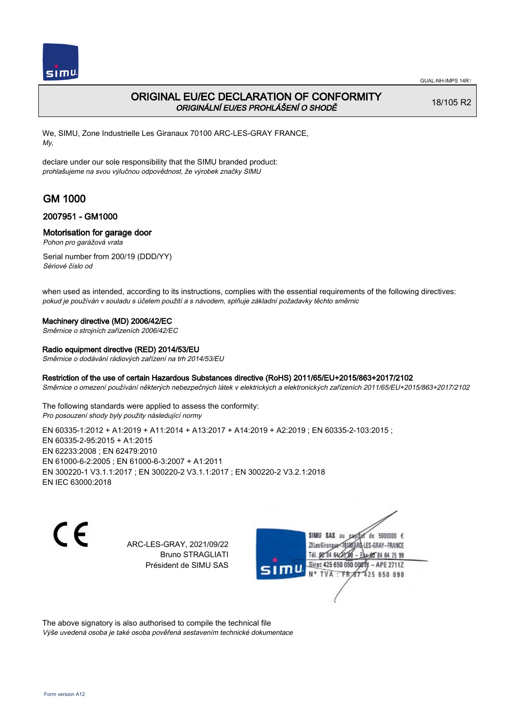

# ORIGINAL EU/EC DECLARATION OF CONFORMITY ORIGINÁLNÍ EU/ES PROHLÁŠENÍ O SHODĚ

18/105 R2

We, SIMU, Zone Industrielle Les Giranaux 70100 ARC-LES-GRAY FRANCE, My,

declare under our sole responsibility that the SIMU branded product: prohlašujeme na svou výlučnou odpovědnost, že výrobek značky SIMU

# GM 1000

## 2007951 - GM1000

## Motorisation for garage door

Pohon pro garážová vrata

Serial number from 200/19 (DDD/YY) Sériové číslo od

when used as intended, according to its instructions, complies with the essential requirements of the following directives: pokud je používán v souladu s účelem použití a s návodem, splňuje základní požadavky těchto směrnic

### Machinery directive (MD) 2006/42/EC

Směrnice o strojních zařízeních 2006/42/EC

### Radio equipment directive (RED) 2014/53/EU

Směrnice o dodávání rádiových zařízení na trh 2014/53/EU

### Restriction of the use of certain Hazardous Substances directive (RoHS) 2011/65/EU+2015/863+2017/2102

Směrnice o omezení používání některých nebezpečných látek v elektrických a elektronických zařízeních 2011/65/EU+2015/863+2017/2102

The following standards were applied to assess the conformity: Pro posouzení shody byly použity následující normy

EN 60335-1:2012 + A1:2019 + A11:2014 + A13:2017 + A14:2019 + A2:2019 ; EN 60335-2-103:2015 ; EN 60335‑2‑95:2015 + A1:2015 EN 62233:2008 ; EN 62479:2010 EN 61000‑6‑2:2005 ; EN 61000‑6‑3:2007 + A1:2011 EN 300220‑1 V3.1.1:2017 ; EN 300220‑2 V3.1.1:2017 ; EN 300220‑2 V3.2.1:2018 EN IEC 63000:2018

C E

ARC-LES-GRAY, 2021/09/22 Bruno STRAGLIATI Président de SIMU SAS



The above signatory is also authorised to compile the technical file Výše uvedená osoba je také osoba pověřená sestavením technické dokumentace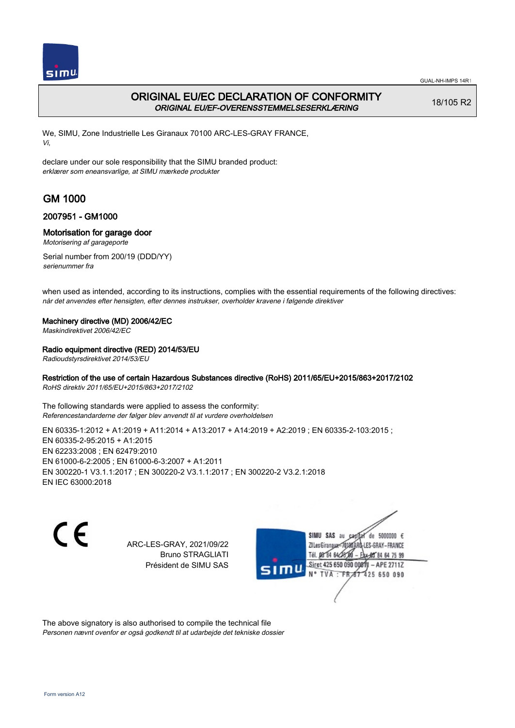

# ORIGINAL EU/EC DECLARATION OF CONFORMITY ORIGINAL EU/EF-OVERENSSTEMMELSESERKLÆRING

18/105 R2

We, SIMU, Zone Industrielle Les Giranaux 70100 ARC-LES-GRAY FRANCE, Vi,

declare under our sole responsibility that the SIMU branded product: erklærer som eneansvarlige, at SIMU mærkede produkter

# GM 1000

## 2007951 - GM1000

## Motorisation for garage door

Motorisering af garageporte

Serial number from 200/19 (DDD/YY) serienummer fra

when used as intended, according to its instructions, complies with the essential requirements of the following directives: når det anvendes efter hensigten, efter dennes instrukser, overholder kravene i følgende direktiver

### Machinery directive (MD) 2006/42/EC

Maskindirektivet 2006/42/EC

## Radio equipment directive (RED) 2014/53/EU

Radioudstyrsdirektivet 2014/53/EU

## Restriction of the use of certain Hazardous Substances directive (RoHS) 2011/65/EU+2015/863+2017/2102

RoHS direktiv 2011/65/EU+2015/863+2017/2102

The following standards were applied to assess the conformity: Referencestandarderne der følger blev anvendt til at vurdere overholdelsen

EN 60335-1:2012 + A1:2019 + A11:2014 + A13:2017 + A14:2019 + A2:2019 ; EN 60335-2-103:2015 ; EN 60335‑2‑95:2015 + A1:2015 EN 62233:2008 ; EN 62479:2010 EN 61000‑6‑2:2005 ; EN 61000‑6‑3:2007 + A1:2011 EN 300220‑1 V3.1.1:2017 ; EN 300220‑2 V3.1.1:2017 ; EN 300220‑2 V3.2.1:2018 EN IEC 63000:2018

 $\epsilon$ 

ARC-LES-GRAY, 2021/09/22 Bruno STRAGLIATI Président de SIMU SAS



The above signatory is also authorised to compile the technical file Personen nævnt ovenfor er også godkendt til at udarbejde det tekniske dossier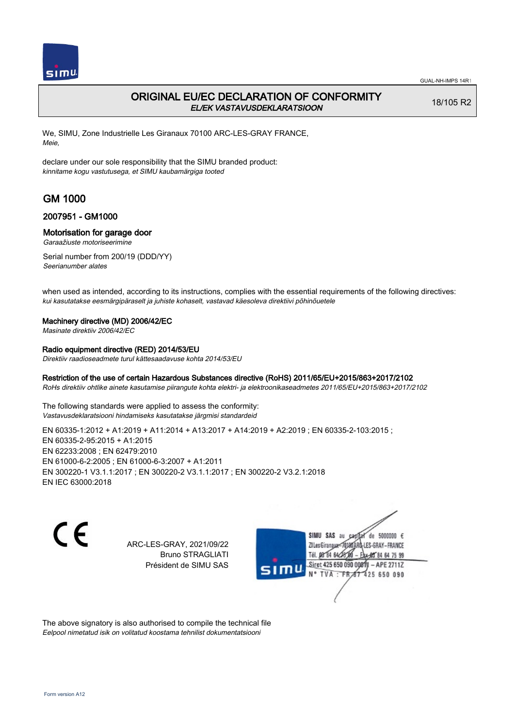

# ORIGINAL EU/EC DECLARATION OF CONFORMITY EL/EK VASTAVUSDEKLARATSIOON

18/105 R2

We, SIMU, Zone Industrielle Les Giranaux 70100 ARC-LES-GRAY FRANCE, Meie,

declare under our sole responsibility that the SIMU branded product: kinnitame kogu vastutusega, et SIMU kaubamärgiga tooted

# GM 1000

## 2007951 - GM1000

### Motorisation for garage door

Garaažiuste motoriseerimine

Serial number from 200/19 (DDD/YY) Seerianumber alates

when used as intended, according to its instructions, complies with the essential requirements of the following directives: kui kasutatakse eesmärgipäraselt ja juhiste kohaselt, vastavad käesoleva direktiivi põhinõuetele

### Machinery directive (MD) 2006/42/EC

Masinate direktiiv 2006/42/EC

## Radio equipment directive (RED) 2014/53/EU

Direktiiv raadioseadmete turul kättesaadavuse kohta 2014/53/EU

### Restriction of the use of certain Hazardous Substances directive (RoHS) 2011/65/EU+2015/863+2017/2102

RoHs direktiiv ohtlike ainete kasutamise piirangute kohta elektri- ja elektroonikaseadmetes 2011/65/EU+2015/863+2017/2102

The following standards were applied to assess the conformity: Vastavusdeklaratsiooni hindamiseks kasutatakse järgmisi standardeid

EN 60335-1:2012 + A1:2019 + A11:2014 + A13:2017 + A14:2019 + A2:2019 ; EN 60335-2-103:2015 ; EN 60335‑2‑95:2015 + A1:2015 EN 62233:2008 ; EN 62479:2010 EN 61000‑6‑2:2005 ; EN 61000‑6‑3:2007 + A1:2011 EN 300220‑1 V3.1.1:2017 ; EN 300220‑2 V3.1.1:2017 ; EN 300220‑2 V3.2.1:2018 EN IEC 63000:2018

C E

ARC-LES-GRAY, 2021/09/22 Bruno STRAGLIATI Président de SIMU SAS



The above signatory is also authorised to compile the technical file Eelpool nimetatud isik on volitatud koostama tehnilist dokumentatsiooni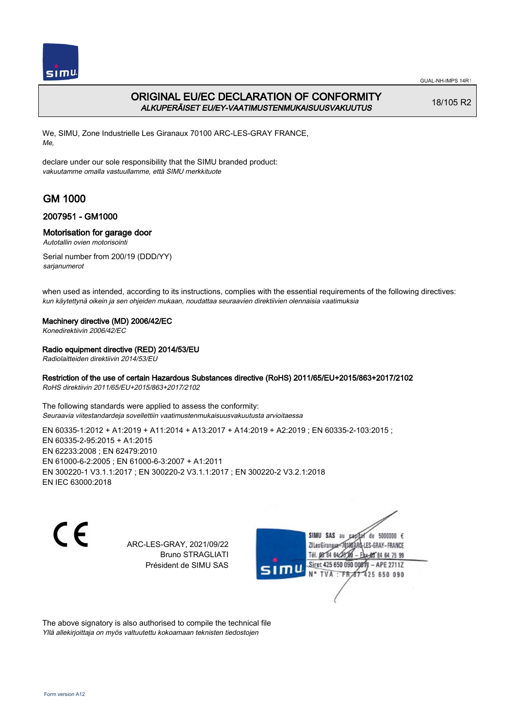

# ORIGINAL EU/EC DECLARATION OF CONFORMITY ALKUPERÄISET EU/EY-VAATIMUSTENMUKAISUUSVAKUUTUS

18/105 R2

We, SIMU, Zone Industrielle Les Giranaux 70100 ARC-LES-GRAY FRANCE, Me,

declare under our sole responsibility that the SIMU branded product: vakuutamme omalla vastuullamme, että SIMU merkkituote

# GM 1000

## 2007951 - GM1000

## Motorisation for garage door

Autotallin ovien motorisointi

Serial number from 200/19 (DDD/YY) sarjanumerot

when used as intended, according to its instructions, complies with the essential requirements of the following directives: kun käytettynä oikein ja sen ohjeiden mukaan, noudattaa seuraavien direktiivien olennaisia vaatimuksia

### Machinery directive (MD) 2006/42/EC

Konedirektiivin 2006/42/EC

## Radio equipment directive (RED) 2014/53/EU

Radiolaitteiden direktiivin 2014/53/EU

## Restriction of the use of certain Hazardous Substances directive (RoHS) 2011/65/EU+2015/863+2017/2102

RoHS direktiivin 2011/65/EU+2015/863+2017/2102

The following standards were applied to assess the conformity: Seuraavia viitestandardeja sovellettiin vaatimustenmukaisuusvakuutusta arvioitaessa

EN 60335-1:2012 + A1:2019 + A11:2014 + A13:2017 + A14:2019 + A2:2019 ; EN 60335-2-103:2015 ; EN 60335‑2‑95:2015 + A1:2015 EN 62233:2008 ; EN 62479:2010 EN 61000‑6‑2:2005 ; EN 61000‑6‑3:2007 + A1:2011 EN 300220‑1 V3.1.1:2017 ; EN 300220‑2 V3.1.1:2017 ; EN 300220‑2 V3.2.1:2018 EN IEC 63000:2018

 $\epsilon$ 

ARC-LES-GRAY, 2021/09/22 Bruno STRAGLIATI Président de SIMU SAS



The above signatory is also authorised to compile the technical file Yllä allekirjoittaja on myös valtuutettu kokoamaan teknisten tiedostojen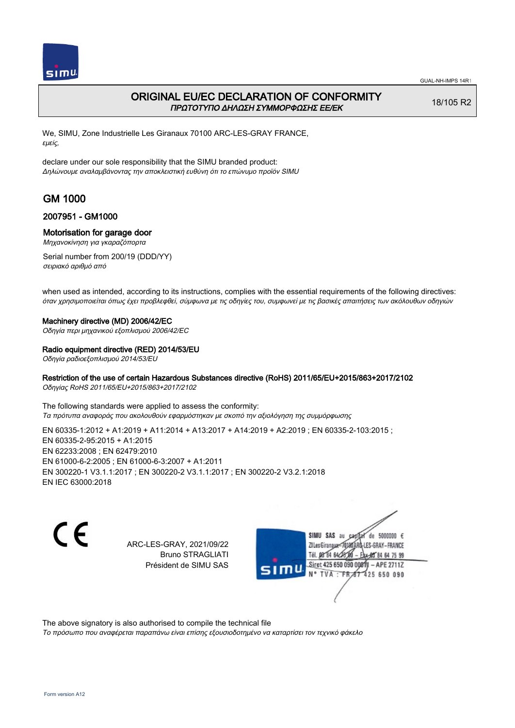

## ORIGINAL EU/EC DECLARATION OF CONFORMITY ΠΡΩΤΟΤΥΠΟ ΔΗΛΩΣΗ ΣΥΜΜΟΡΦΩΣΗΣ ΕΕ/EK

18/105 R2

We, SIMU, Zone Industrielle Les Giranaux 70100 ARC-LES-GRAY FRANCE, εμείς,

declare under our sole responsibility that the SIMU branded product: Δηλώνουμε αναλαμβάνοντας την αποκλειστική ευθύνη ότι το επώνυμο προϊόν SIMU

# GM 1000

### 2007951 - GM1000

### Motorisation for garage door

Μηχανοκίνηση για γκαραζόπορτα

Serial number from 200/19 (DDD/YY) σειριακό αριθμό από

when used as intended, according to its instructions, complies with the essential requirements of the following directives: όταν χρησιμοποιείται όπως έχει προβλεφθεί, σύμφωνα με τις οδηγίες του, συμφωνεί με τις βασικές απαιτήσεις των ακόλουθων οδηγιών

#### Machinery directive (MD) 2006/42/EC

Οδηγία περι μηχανικού εξοπλισμού 2006/42/EC

### Radio equipment directive (RED) 2014/53/EU

Οδηγία ραδιοεξοπλισμού 2014/53/EU

### Restriction of the use of certain Hazardous Substances directive (RoHS) 2011/65/EU+2015/863+2017/2102

Οδηγίας RoHS 2011/65/EU+2015/863+2017/2102

The following standards were applied to assess the conformity: Τα πρότυπα αναφοράς που ακολουθούν εφαρμόστηκαν με σκοπό την αξιολόγηση της συμμόρφωσης

EN 60335-1:2012 + A1:2019 + A11:2014 + A13:2017 + A14:2019 + A2:2019 ; EN 60335-2-103:2015 ; EN 60335‑2‑95:2015 + A1:2015 EN 62233:2008 ; EN 62479:2010 EN 61000‑6‑2:2005 ; EN 61000‑6‑3:2007 + A1:2011 EN 300220‑1 V3.1.1:2017 ; EN 300220‑2 V3.1.1:2017 ; EN 300220‑2 V3.2.1:2018 EN IEC 63000:2018

C E

ARC-LES-GRAY, 2021/09/22 Bruno STRAGLIATI Président de SIMU SAS

SIMU SAS au de 5000000  $\epsilon$ ZI Les Giranaux</r0180 LES-GRAY-FRANCE Tél. 08 84 64 28 00 84 64 75 99 Siret 425 650 090 00811 - APE 2711Z TVA: FR 67 425 650 090

The above signatory is also authorised to compile the technical file

Το πρόσωπο που αναφέρεται παραπάνω είναι επίσης εξουσιοδοτημένο να καταρτίσει τον τεχνικό φάκελο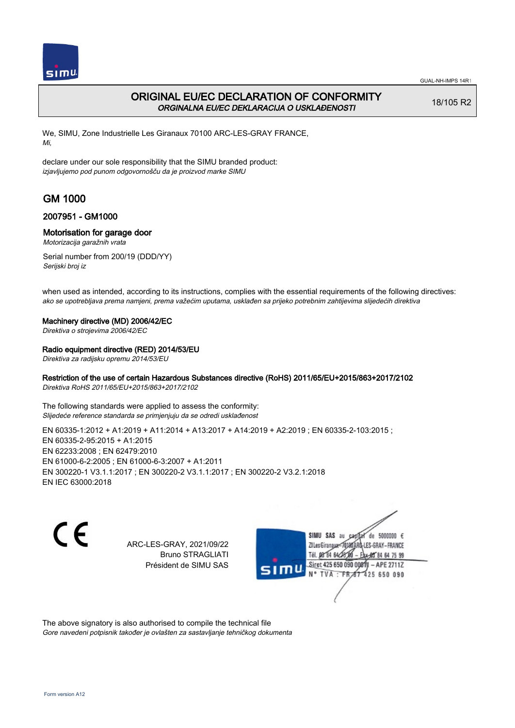

# ORIGINAL EU/EC DECLARATION OF CONFORMITY ORGINALNA EU/EC DEKLARACIJA O USKLAĐENOSTI

18/105 R2

We, SIMU, Zone Industrielle Les Giranaux 70100 ARC-LES-GRAY FRANCE, Mi,

declare under our sole responsibility that the SIMU branded product: izjavljujemo pod punom odgovornošču da je proizvod marke SIMU

# GM 1000

## 2007951 - GM1000

### Motorisation for garage door

Motorizacija garažnih vrata

Serial number from 200/19 (DDD/YY) Serijski broj iz

when used as intended, according to its instructions, complies with the essential requirements of the following directives: ako se upotrebljava prema namjeni, prema važećim uputama, usklađen sa prijeko potrebnim zahtijevima slijedećih direktiva

### Machinery directive (MD) 2006/42/EC

Direktiva o strojevima 2006/42/EC

### Radio equipment directive (RED) 2014/53/EU

Direktiva za radijsku opremu 2014/53/EU

### Restriction of the use of certain Hazardous Substances directive (RoHS) 2011/65/EU+2015/863+2017/2102

Direktiva RoHS 2011/65/EU+2015/863+2017/2102

The following standards were applied to assess the conformity: Slijedeće reference standarda se primjenjuju da se odredi usklađenost

EN 60335-1:2012 + A1:2019 + A11:2014 + A13:2017 + A14:2019 + A2:2019 ; EN 60335-2-103:2015 ; EN 60335‑2‑95:2015 + A1:2015 EN 62233:2008 ; EN 62479:2010 EN 61000‑6‑2:2005 ; EN 61000‑6‑3:2007 + A1:2011 EN 300220‑1 V3.1.1:2017 ; EN 300220‑2 V3.1.1:2017 ; EN 300220‑2 V3.2.1:2018 EN IEC 63000:2018

 $\epsilon$ 

ARC-LES-GRAY, 2021/09/22 Bruno STRAGLIATI Président de SIMU SAS



The above signatory is also authorised to compile the technical file Gore navedeni potpisnik također je ovlašten za sastavljanje tehničkog dokumenta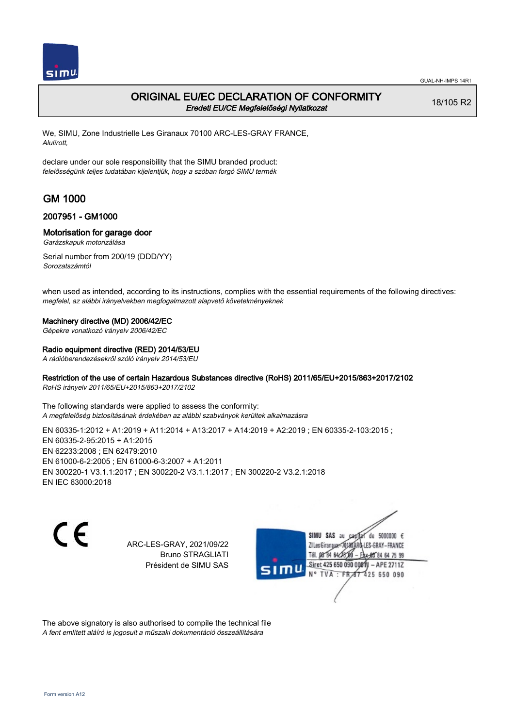

## ORIGINAL EU/EC DECLARATION OF CONFORMITY Eredeti EU/CE Megfelelőségi Nyilatkozat

18/105 R2

We, SIMU, Zone Industrielle Les Giranaux 70100 ARC-LES-GRAY FRANCE, Alulírott,

declare under our sole responsibility that the SIMU branded product: felelősségünk teljes tudatában kijelentjük, hogy a szóban forgó SIMU termék

# GM 1000

### 2007951 - GM1000

### Motorisation for garage door

Garázskapuk motorizálása

Serial number from 200/19 (DDD/YY) Sorozatszámtól

when used as intended, according to its instructions, complies with the essential requirements of the following directives: megfelel, az alábbi irányelvekben megfogalmazott alapvető követelményeknek

### Machinery directive (MD) 2006/42/EC

Gépekre vonatkozó irányelv 2006/42/EC

### Radio equipment directive (RED) 2014/53/EU

A rádióberendezésekről szóló irányelv 2014/53/EU

### Restriction of the use of certain Hazardous Substances directive (RoHS) 2011/65/EU+2015/863+2017/2102

RoHS irányelv 2011/65/EU+2015/863+2017/2102

The following standards were applied to assess the conformity: A megfelelőség biztosításának érdekében az alábbi szabványok kerültek alkalmazásra

EN 60335-1:2012 + A1:2019 + A11:2014 + A13:2017 + A14:2019 + A2:2019 ; EN 60335-2-103:2015 ; EN 60335‑2‑95:2015 + A1:2015 EN 62233:2008 ; EN 62479:2010 EN 61000‑6‑2:2005 ; EN 61000‑6‑3:2007 + A1:2011 EN 300220‑1 V3.1.1:2017 ; EN 300220‑2 V3.1.1:2017 ; EN 300220‑2 V3.2.1:2018 EN IEC 63000:2018

C E

ARC-LES-GRAY, 2021/09/22 Bruno STRAGLIATI Président de SIMU SAS



The above signatory is also authorised to compile the technical file A fent említett aláíró is jogosult a műszaki dokumentáció összeállítására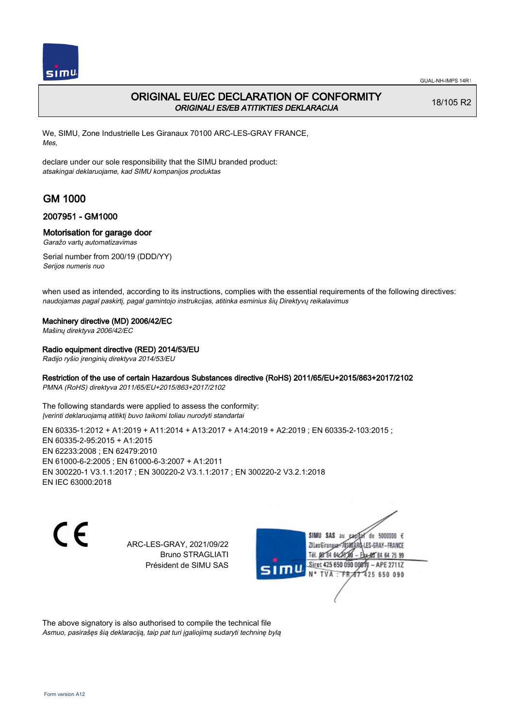

## ORIGINAL EU/EC DECLARATION OF CONFORMITY ORIGINALI ES/EB ATITIKTIES DEKLARACIJA

18/105 R2

We, SIMU, Zone Industrielle Les Giranaux 70100 ARC-LES-GRAY FRANCE, Mes,

declare under our sole responsibility that the SIMU branded product: atsakingai deklaruojame, kad SIMU kompanijos produktas

# GM 1000

## 2007951 - GM1000

### Motorisation for garage door

Garažo vartų automatizavimas

Serial number from 200/19 (DDD/YY) Serijos numeris nuo

when used as intended, according to its instructions, complies with the essential requirements of the following directives: naudojamas pagal paskirtį, pagal gamintojo instrukcijas, atitinka esminius šių Direktyvų reikalavimus

#### Machinery directive (MD) 2006/42/EC

Mašinų direktyva 2006/42/EC

### Radio equipment directive (RED) 2014/53/EU

Radijo ryšio įrenginių direktyva 2014/53/EU

### Restriction of the use of certain Hazardous Substances directive (RoHS) 2011/65/EU+2015/863+2017/2102

PMNA (RoHS) direktyva 2011/65/EU+2015/863+2017/2102

The following standards were applied to assess the conformity: Įverinti deklaruojamą atitiktį buvo taikomi toliau nurodyti standartai

EN 60335-1:2012 + A1:2019 + A11:2014 + A13:2017 + A14:2019 + A2:2019 ; EN 60335-2-103:2015 ; EN 60335‑2‑95:2015 + A1:2015 EN 62233:2008 ; EN 62479:2010 EN 61000‑6‑2:2005 ; EN 61000‑6‑3:2007 + A1:2011 EN 300220‑1 V3.1.1:2017 ; EN 300220‑2 V3.1.1:2017 ; EN 300220‑2 V3.2.1:2018 EN IEC 63000:2018

C E

ARC-LES-GRAY, 2021/09/22 Bruno STRAGLIATI Président de SIMU SAS



The above signatory is also authorised to compile the technical file Asmuo, pasirašęs šią deklaraciją, taip pat turi įgaliojimą sudaryti techninę bylą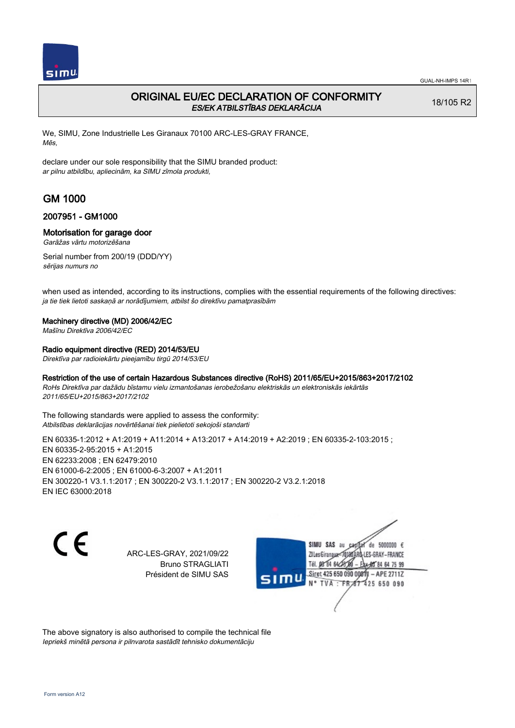

# ORIGINAL EU/EC DECLARATION OF CONFORMITY ES/EK ATBILSTĪBAS DEKLARĀCIJA

18/105 R2

We, SIMU, Zone Industrielle Les Giranaux 70100 ARC-LES-GRAY FRANCE, Mēs,

declare under our sole responsibility that the SIMU branded product: ar pilnu atbildību, apliecinām, ka SIMU zīmola produkti,

# GM 1000

## 2007951 - GM1000

### Motorisation for garage door

Garāžas vārtu motorizēšana

Serial number from 200/19 (DDD/YY) sērijas numurs no

when used as intended, according to its instructions, complies with the essential requirements of the following directives: ja tie tiek lietoti saskaņā ar norādījumiem, atbilst šo direktīvu pamatprasībām

### Machinery directive (MD) 2006/42/EC

Mašīnu Direktīva 2006/42/EC

### Radio equipment directive (RED) 2014/53/EU

Direktīva par radioiekārtu pieejamību tirgū 2014/53/EU

### Restriction of the use of certain Hazardous Substances directive (RoHS) 2011/65/EU+2015/863+2017/2102

RoHs Direktīva par dažādu bīstamu vielu izmantošanas ierobežošanu elektriskās un elektroniskās iekārtās 2011/65/EU+2015/863+2017/2102

The following standards were applied to assess the conformity: Atbilstības deklarācijas novērtēšanai tiek pielietoti sekojoši standarti

EN 60335-1:2012 + A1:2019 + A11:2014 + A13:2017 + A14:2019 + A2:2019 ; EN 60335-2-103:2015 ; EN 60335‑2‑95:2015 + A1:2015 EN 62233:2008 ; EN 62479:2010 EN 61000‑6‑2:2005 ; EN 61000‑6‑3:2007 + A1:2011 EN 300220‑1 V3.1.1:2017 ; EN 300220‑2 V3.1.1:2017 ; EN 300220‑2 V3.2.1:2018 EN IEC 63000:2018

C E

ARC-LES-GRAY, 2021/09/22 Bruno STRAGLIATI Président de SIMU SAS

SIMU SAS au de 5000000  $\epsilon$ ZI Les Giranaux</r0180 LES-GRAY-FRANCE Tél. 08 84 64 24 64 75 99 Siret 425 650 090 008TV - APE 2711Z TVA: FRAT 425 650 090

The above signatory is also authorised to compile the technical file Iepriekš minētā persona ir pilnvarota sastādīt tehnisko dokumentāciju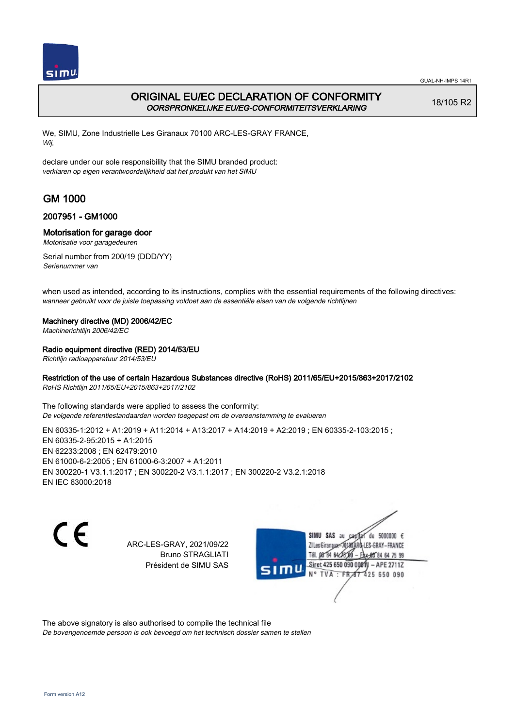

# ORIGINAL EU/EC DECLARATION OF CONFORMITY OORSPRONKELIJKE EU/EG-CONFORMITEITSVERKLARING

18/105 R2

We, SIMU, Zone Industrielle Les Giranaux 70100 ARC-LES-GRAY FRANCE, Wij,

declare under our sole responsibility that the SIMU branded product: verklaren op eigen verantwoordelijkheid dat het produkt van het SIMU

# GM 1000

## 2007951 - GM1000

## Motorisation for garage door

Motorisatie voor garagedeuren

Serial number from 200/19 (DDD/YY) Serienummer van

when used as intended, according to its instructions, complies with the essential requirements of the following directives: wanneer gebruikt voor de juiste toepassing voldoet aan de essentiële eisen van de volgende richtlijnen

### Machinery directive (MD) 2006/42/EC

Machinerichtlijn 2006/42/EC

## Radio equipment directive (RED) 2014/53/EU

Richtlijn radioapparatuur 2014/53/EU

## Restriction of the use of certain Hazardous Substances directive (RoHS) 2011/65/EU+2015/863+2017/2102

RoHS Richtlijn 2011/65/EU+2015/863+2017/2102

The following standards were applied to assess the conformity: De volgende referentiestandaarden worden toegepast om de overeenstemming te evalueren

EN 60335‑1:2012 + A1:2019 + A11:2014 + A13:2017 + A14:2019 + A2:2019 ; EN 60335‑2‑103:2015 ; EN 60335‑2‑95:2015 + A1:2015 EN 62233:2008 ; EN 62479:2010 EN 61000‑6‑2:2005 ; EN 61000‑6‑3:2007 + A1:2011 EN 300220‑1 V3.1.1:2017 ; EN 300220‑2 V3.1.1:2017 ; EN 300220‑2 V3.2.1:2018 EN IEC 63000:2018

 $\epsilon$ 

ARC-LES-GRAY, 2021/09/22 Bruno STRAGLIATI Président de SIMU SAS



The above signatory is also authorised to compile the technical file

De bovengenoemde persoon is ook bevoegd om het technisch dossier samen te stellen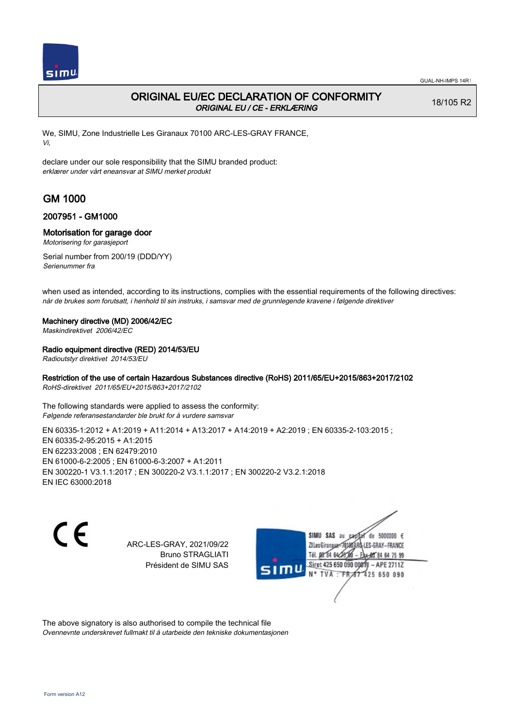

## ORIGINAL EU/EC DECLARATION OF CONFORMITY ORIGINAL EU / CE - ERKLÆRING

18/105 R2

We, SIMU, Zone Industrielle Les Giranaux 70100 ARC-LES-GRAY FRANCE, Vi,

declare under our sole responsibility that the SIMU branded product: erklærer under vårt eneansvar at SIMU merket produkt

# GM 1000

## 2007951 - GM1000

### Motorisation for garage door

Motorisering for garasjeport

Serial number from 200/19 (DDD/YY) Serienummer fra

when used as intended, according to its instructions, complies with the essential requirements of the following directives: når de brukes som forutsatt, i henhold til sin instruks, i samsvar med de grunnlegende kravene i følgende direktiver

### Machinery directive (MD) 2006/42/EC

Maskindirektivet 2006/42/EC

### Radio equipment directive (RED) 2014/53/EU

Radioutstyr direktivet 2014/53/EU

## Restriction of the use of certain Hazardous Substances directive (RoHS) 2011/65/EU+2015/863+2017/2102

RoHS-direktivet 2011/65/EU+2015/863+2017/2102

The following standards were applied to assess the conformity: Følgende referansestandarder ble brukt for å vurdere samsvar

EN 60335-1:2012 + A1:2019 + A11:2014 + A13:2017 + A14:2019 + A2:2019 ; EN 60335-2-103:2015 ; EN 60335‑2‑95:2015 + A1:2015 EN 62233:2008 ; EN 62479:2010 EN 61000‑6‑2:2005 ; EN 61000‑6‑3:2007 + A1:2011 EN 300220‑1 V3.1.1:2017 ; EN 300220‑2 V3.1.1:2017 ; EN 300220‑2 V3.2.1:2018 EN IEC 63000:2018

 $\epsilon$ 

ARC-LES-GRAY, 2021/09/22 Bruno STRAGLIATI Président de SIMU SAS



The above signatory is also authorised to compile the technical file Ovennevnte underskrevet fullmakt til å utarbeide den tekniske dokumentasjonen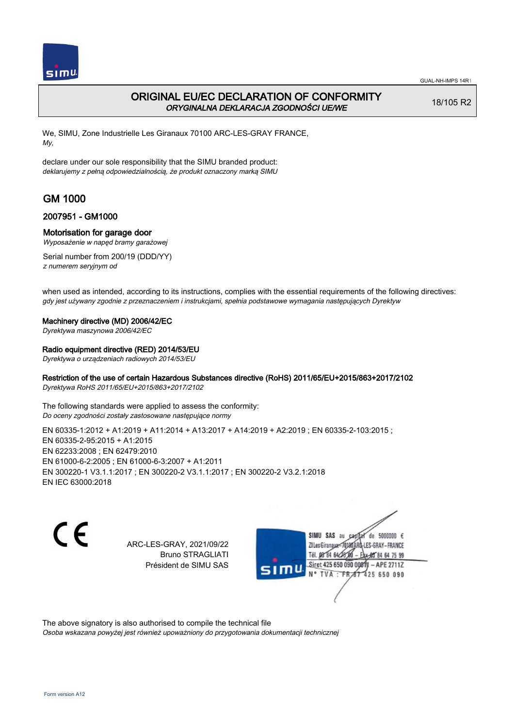

## ORIGINAL EU/EC DECLARATION OF CONFORMITY ORYGINALNA DEKLARACJA ZGODNOŚCI UE/WE

18/105 R2

We, SIMU, Zone Industrielle Les Giranaux 70100 ARC-LES-GRAY FRANCE, My,

declare under our sole responsibility that the SIMU branded product: deklarujemy z pełną odpowiedzialnością, że produkt oznaczony marką SIMU

# GM 1000

## 2007951 - GM1000

### Motorisation for garage door

Wyposażenie w napęd bramy garażowej

Serial number from 200/19 (DDD/YY) z numerem seryjnym od

when used as intended, according to its instructions, complies with the essential requirements of the following directives: gdy jest używany zgodnie z przeznaczeniem i instrukcjami, spełnia podstawowe wymagania następujących Dyrektyw

#### Machinery directive (MD) 2006/42/EC

Dyrektywa maszynowa 2006/42/EC

### Radio equipment directive (RED) 2014/53/EU

Dyrektywa o urządzeniach radiowych 2014/53/EU

### Restriction of the use of certain Hazardous Substances directive (RoHS) 2011/65/EU+2015/863+2017/2102

Dyrektywa RoHS 2011/65/EU+2015/863+2017/2102

The following standards were applied to assess the conformity: Do oceny zgodności zostały zastosowane następujące normy

EN 60335‑1:2012 + A1:2019 + A11:2014 + A13:2017 + A14:2019 + A2:2019 ; EN 60335‑2‑103:2015 ; EN 60335‑2‑95:2015 + A1:2015 EN 62233:2008 ; EN 62479:2010 EN 61000‑6‑2:2005 ; EN 61000‑6‑3:2007 + A1:2011 EN 300220‑1 V3.1.1:2017 ; EN 300220‑2 V3.1.1:2017 ; EN 300220‑2 V3.2.1:2018 EN IEC 63000:2018

C E

ARC-LES-GRAY, 2021/09/22 Bruno STRAGLIATI Président de SIMU SAS



The above signatory is also authorised to compile the technical file

Osoba wskazana powyżej jest również upoważniony do przygotowania dokumentacji technicznej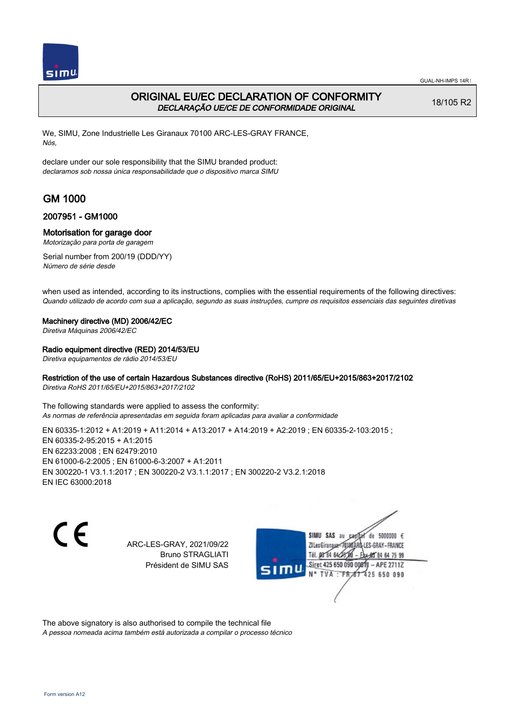

## ORIGINAL EU/EC DECLARATION OF CONFORMITY DECLARAÇÃO UE/CE DE CONFORMIDADE ORIGINAL

18/105 R2

We, SIMU, Zone Industrielle Les Giranaux 70100 ARC-LES-GRAY FRANCE, Nós,

declare under our sole responsibility that the SIMU branded product: declaramos sob nossa única responsabilidade que o dispositivo marca SIMU

# GM 1000

## 2007951 - GM1000

### Motorisation for garage door

Motorização para porta de garagem

Serial number from 200/19 (DDD/YY) Número de série desde

when used as intended, according to its instructions, complies with the essential requirements of the following directives: Quando utilizado de acordo com sua a aplicação, segundo as suas instruções, cumpre os requisitos essenciais das seguintes diretivas

### Machinery directive (MD) 2006/42/EC

Diretiva Máquinas 2006/42/EC

### Radio equipment directive (RED) 2014/53/EU

Diretiva equipamentos de rádio 2014/53/EU

### Restriction of the use of certain Hazardous Substances directive (RoHS) 2011/65/EU+2015/863+2017/2102

Diretiva RoHS 2011/65/EU+2015/863+2017/2102

The following standards were applied to assess the conformity: As normas de referência apresentadas em seguida foram aplicadas para avaliar a conformidade

EN 60335‑1:2012 + A1:2019 + A11:2014 + A13:2017 + A14:2019 + A2:2019 ; EN 60335‑2‑103:2015 ; EN 60335‑2‑95:2015 + A1:2015 EN 62233:2008 ; EN 62479:2010 EN 61000‑6‑2:2005 ; EN 61000‑6‑3:2007 + A1:2011 EN 300220‑1 V3.1.1:2017 ; EN 300220‑2 V3.1.1:2017 ; EN 300220‑2 V3.2.1:2018 EN IEC 63000:2018

 $\epsilon$ 

ARC-LES-GRAY, 2021/09/22 Bruno STRAGLIATI Président de SIMU SAS



The above signatory is also authorised to compile the technical file

A pessoa nomeada acima também está autorizada a compilar o processo técnico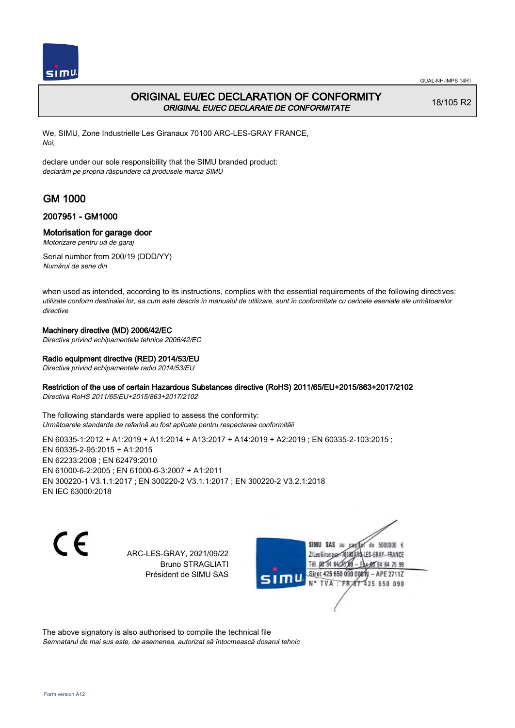

# ORIGINAL EU/EC DECLARATION OF CONFORMITY ORIGINAL EU/EC DECLARAIE DE CONFORMITATE

18/105 R2

We, SIMU, Zone Industrielle Les Giranaux 70100 ARC-LES-GRAY FRANCE, Noi,

declare under our sole responsibility that the SIMU branded product: declarăm pe propria răspundere că produsele marca SIMU

# GM 1000

## 2007951 - GM1000

## Motorisation for garage door

Motorizare pentru uă de garaj

Serial number from 200/19 (DDD/YY) Numărul de serie din

when used as intended, according to its instructions, complies with the essential requirements of the following directives: utilizate conform destinaiei lor, aa cum este descris în manualul de utilizare, sunt în conformitate cu cerinele eseniale ale următoarelor directive

## Machinery directive (MD) 2006/42/EC

Directiva privind echipamentele tehnice 2006/42/EC

## Radio equipment directive (RED) 2014/53/EU

Directiva privind echipamentele radio 2014/53/EU

### Restriction of the use of certain Hazardous Substances directive (RoHS) 2011/65/EU+2015/863+2017/2102

Directiva RoHS 2011/65/EU+2015/863+2017/2102

The following standards were applied to assess the conformity: Următoarele standarde de referină au fost aplicate pentru respectarea conformităii

EN 60335-1:2012 + A1:2019 + A11:2014 + A13:2017 + A14:2019 + A2:2019 ; EN 60335-2-103:2015 ; EN 60335‑2‑95:2015 + A1:2015 EN 62233:2008 ; EN 62479:2010 EN 61000‑6‑2:2005 ; EN 61000‑6‑3:2007 + A1:2011 EN 300220‑1 V3.1.1:2017 ; EN 300220‑2 V3.1.1:2017 ; EN 300220‑2 V3.2.1:2018 EN IEC 63000:2018

C E

ARC-LES-GRAY, 2021/09/22 Bruno STRAGLIATI Président de SIMU SAS

SIMU SAS au de 5000000  $\epsilon$ ZI Les Giranaux</br/>1018 LES-GRAY-FRANCE Tél. 08 84 64 24 64 75 99 Siret 425 650 090 0081 - APE 2711Z 425 650 090 TVA: FR

The above signatory is also authorised to compile the technical file Semnatarul de mai sus este, de asemenea, autorizat să întocmească dosarul tehnic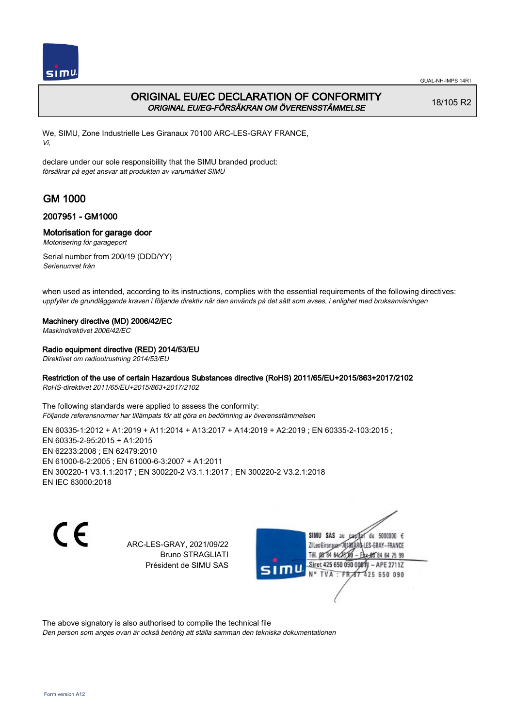

# ORIGINAL EU/EC DECLARATION OF CONFORMITY ORIGINAL EU/EG-FÖRSÄKRAN OM ÖVERENSSTÄMMELSE

18/105 R2

We, SIMU, Zone Industrielle Les Giranaux 70100 ARC-LES-GRAY FRANCE, Vi,

declare under our sole responsibility that the SIMU branded product: försäkrar på eget ansvar att produkten av varumärket SIMU

# GM 1000

## 2007951 - GM1000

### Motorisation for garage door

Motorisering för garageport

Serial number from 200/19 (DDD/YY) Serienumret från

when used as intended, according to its instructions, complies with the essential requirements of the following directives: uppfyller de grundläggande kraven i följande direktiv när den används på det sätt som avses, i enlighet med bruksanvisningen

### Machinery directive (MD) 2006/42/EC

Maskindirektivet 2006/42/EC

### Radio equipment directive (RED) 2014/53/EU

Direktivet om radioutrustning 2014/53/EU

### Restriction of the use of certain Hazardous Substances directive (RoHS) 2011/65/EU+2015/863+2017/2102

RoHS-direktivet 2011/65/EU+2015/863+2017/2102

The following standards were applied to assess the conformity: Följande referensnormer har tillämpats för att göra en bedömning av överensstämmelsen

EN 60335-1:2012 + A1:2019 + A11:2014 + A13:2017 + A14:2019 + A2:2019 ; EN 60335-2-103:2015 ; EN 60335‑2‑95:2015 + A1:2015 EN 62233:2008 ; EN 62479:2010 EN 61000‑6‑2:2005 ; EN 61000‑6‑3:2007 + A1:2011 EN 300220‑1 V3.1.1:2017 ; EN 300220‑2 V3.1.1:2017 ; EN 300220‑2 V3.2.1:2018 EN IEC 63000:2018

 $\epsilon$ 

ARC-LES-GRAY, 2021/09/22 Bruno STRAGLIATI Président de SIMU SAS



The above signatory is also authorised to compile the technical file

Den person som anges ovan är också behörig att ställa samman den tekniska dokumentationen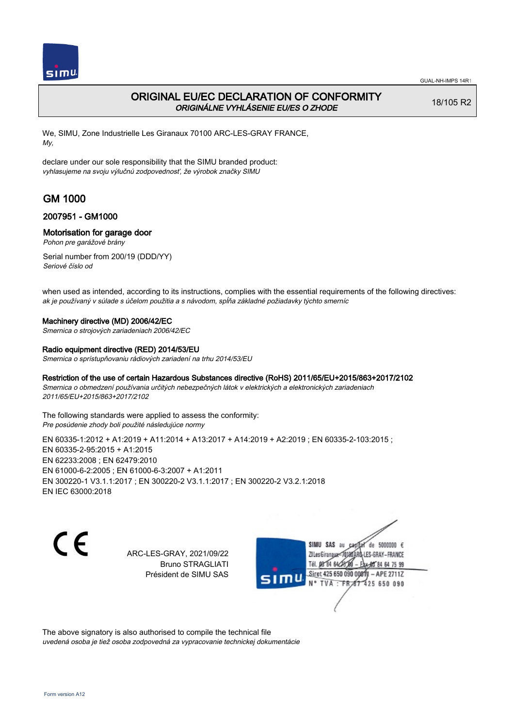

# ORIGINAL EU/EC DECLARATION OF CONFORMITY ORIGINÁLNE VYHLÁSENIE EU/ES O ZHODE

18/105 R2

We, SIMU, Zone Industrielle Les Giranaux 70100 ARC-LES-GRAY FRANCE, My,

declare under our sole responsibility that the SIMU branded product: vyhlasujeme na svoju výlučnú zodpovednosť, že výrobok značky SIMU

# GM 1000

## 2007951 - GM1000

## Motorisation for garage door

Pohon pre garážové brány

Serial number from 200/19 (DDD/YY) Seriové číslo od

when used as intended, according to its instructions, complies with the essential requirements of the following directives: ak je používaný v súlade s účelom použitia a s návodom, spĺňa základné požiadavky týchto smerníc

### Machinery directive (MD) 2006/42/EC

Smernica o strojových zariadeniach 2006/42/EC

### Radio equipment directive (RED) 2014/53/EU

Smernica o sprístupňovaniu rádiových zariadení na trhu 2014/53/EU

### Restriction of the use of certain Hazardous Substances directive (RoHS) 2011/65/EU+2015/863+2017/2102

Smernica o obmedzení používania určitých nebezpečných látok v elektrických a elektronických zariadeniach 2011/65/EU+2015/863+2017/2102

The following standards were applied to assess the conformity: Pre posúdenie zhody boli použité následujúce normy

EN 60335‑1:2012 + A1:2019 + A11:2014 + A13:2017 + A14:2019 + A2:2019 ; EN 60335‑2‑103:2015 ; EN 60335‑2‑95:2015 + A1:2015 EN 62233:2008 ; EN 62479:2010 EN 61000‑6‑2:2005 ; EN 61000‑6‑3:2007 + A1:2011 EN 300220‑1 V3.1.1:2017 ; EN 300220‑2 V3.1.1:2017 ; EN 300220‑2 V3.2.1:2018 EN IEC 63000:2018

C E

ARC-LES-GRAY, 2021/09/22 Bruno STRAGLIATI Président de SIMU SAS

SIMU SAS au de 5000000  $\epsilon$ ZI Les Giranaux-70180 LES-GRAY-FRANCE Tél. 08 84 64 24 64 75 99 Siret 425 650 090 0081) - APE 2711Z 425 650 090 TVA: FR

The above signatory is also authorised to compile the technical file uvedená osoba je tiež osoba zodpovedná za vypracovanie technickej dokumentácie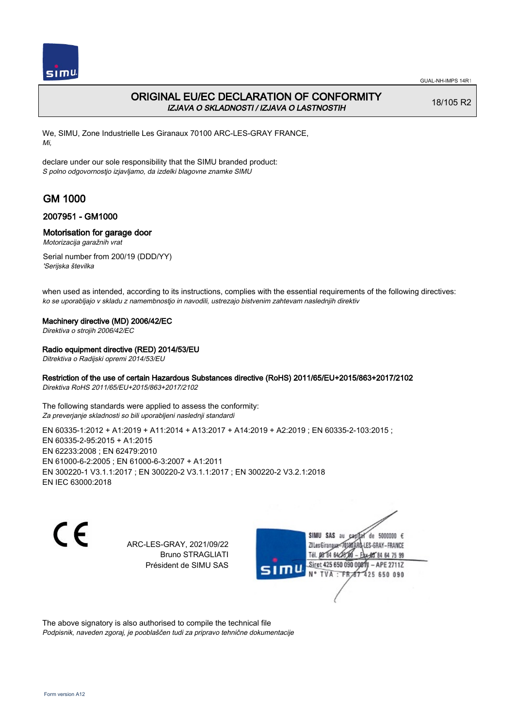

## ORIGINAL EU/EC DECLARATION OF CONFORMITY IZJAVA O SKLADNOSTI / IZJAVA O LASTNOSTIH

18/105 R2

We, SIMU, Zone Industrielle Les Giranaux 70100 ARC-LES-GRAY FRANCE, Mi,

declare under our sole responsibility that the SIMU branded product: S polno odgovornostjo izjavljamo, da izdelki blagovne znamke SIMU

# GM 1000

## 2007951 - GM1000

### Motorisation for garage door

Motorizacija garažnih vrat

Serial number from 200/19 (DDD/YY) 'Serijska številka

when used as intended, according to its instructions, complies with the essential requirements of the following directives: ko se uporabljajo v skladu z namembnostjo in navodili, ustrezajo bistvenim zahtevam naslednjih direktiv

### Machinery directive (MD) 2006/42/EC

Direktiva o strojih 2006/42/EC

### Radio equipment directive (RED) 2014/53/EU

Ditrektiva o Radijski opremi 2014/53/EU

## Restriction of the use of certain Hazardous Substances directive (RoHS) 2011/65/EU+2015/863+2017/2102

Direktiva RoHS 2011/65/EU+2015/863+2017/2102

The following standards were applied to assess the conformity: Za preverjanje skladnosti so bili uporabljeni naslednji standardi

EN 60335-1:2012 + A1:2019 + A11:2014 + A13:2017 + A14:2019 + A2:2019 ; EN 60335-2-103:2015 ; EN 60335‑2‑95:2015 + A1:2015 EN 62233:2008 ; EN 62479:2010 EN 61000‑6‑2:2005 ; EN 61000‑6‑3:2007 + A1:2011 EN 300220‑1 V3.1.1:2017 ; EN 300220‑2 V3.1.1:2017 ; EN 300220‑2 V3.2.1:2018 EN IEC 63000:2018

 $\epsilon$ 

ARC-LES-GRAY, 2021/09/22 Bruno STRAGLIATI Président de SIMU SAS



The above signatory is also authorised to compile the technical file Podpisnik, naveden zgoraj, je pooblaščen tudi za pripravo tehnične dokumentacije